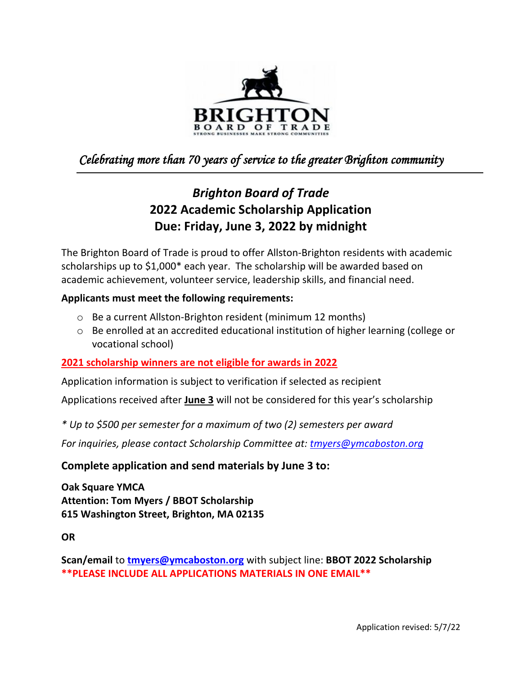

## *Celebrating more than 70 years of service to the greater Brighton community*

# *Brighton Board of Trade* **2022 Academic Scholarship Application Due: Friday, June 3, 2022 by midnight**

The Brighton Board of Trade is proud to offer Allston-Brighton residents with academic scholarships up to \$1,000\* each year. The scholarship will be awarded based on academic achievement, volunteer service, leadership skills, and financial need.

### **Applicants must meet the following requirements:**

- o Be a current Allston-Brighton resident (minimum 12 months)
- $\circ$  Be enrolled at an accredited educational institution of higher learning (college or vocational school)

### **2021 scholarship winners are not eligible for awards in 2022**

Application information is subject to verification if selected as recipient

Applications received after **June 3** will not be considered for this year's scholarship

*\* Up to \$500 per semester for a maximum of two (2) semesters per award*

*For inquiries, please contact Scholarship Committee at: [tmyers@ymcaboston.org](mailto:tmyers@ymcaboston.org)*

### **Complete application and send materials by June 3 to:**

**Oak Square YMCA Attention: Tom Myers / BBOT Scholarship 615 Washington Street, Brighton, MA 02135**

**OR**

**Scan/email** to **[tmyers@ymcaboston.org](mailto:tmyers@ymcaboston.org)** with subject line: **BBOT 2022 Scholarship \*\*PLEASE INCLUDE ALL APPLICATIONS MATERIALS IN ONE EMAIL\*\***